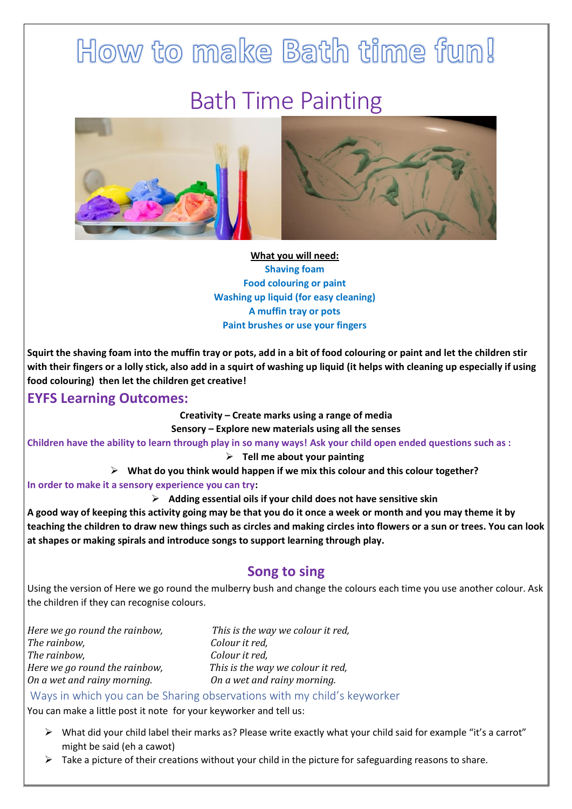## How to make Bath time fun! Bath Time Painting



**What you will need: Shaving foam Food colouring or paint Washing up liquid (for easy cleaning) A muffin tray or pots Paint brushes or use your fingers**

**Squirt the shaving foam into the muffin tray or pots, add in a bit of food colouring or paint and let the children stir with their fingers or a lolly stick, also add in a squirt of washing up liquid (it helps with cleaning up especially if using food colouring) then let the children get creative!**

## **EYFS Learning Outcomes:**

**Creativity – Create marks using a range of media Sensory – Explore new materials using all the senses**

**Children have the ability to learn through play in so many ways! Ask your child open ended questions such as :**

➢ **Tell me about your painting**

➢ **What do you think would happen if we mix this colour and this colour together?**

**In order to make it a sensory experience you can try:**

➢ **Adding essential oils if your child does not have sensitive skin**

**A good way of keeping this activity going may be that you do it once a week or month and you may theme it by teaching the children to draw new things such as circles and making circles into flowers or a sun or trees. You can look at shapes or making spirals and introduce songs to support learning through play.**

## **Song to sing**

Using the version of Here we go round the mulberry bush and change the colours each time you use another colour. Ask the children if they can recognise colours.

*Here we go round the rainbow, This is the way we colour it red, The rainbow, Colour it red, The rainbow, Colour it red, Here we go round the rainbow, This is the way we colour it red, On a wet and rainy morning. On a wet and rainy morning.*

Ways in which you can be Sharing observations with my child's keyworker

You can make a little post it note for your keyworker and tell us:

- ➢ What did your child label their marks as? Please write exactly what your child said for example "it's a carrot" might be said (eh a cawot)
- $\triangleright$  Take a picture of their creations without your child in the picture for safeguarding reasons to share.